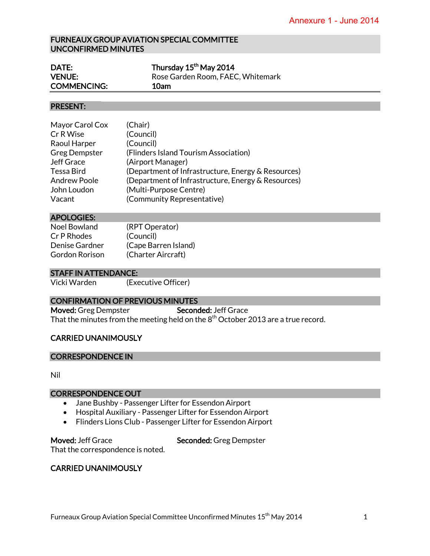## FURNEAUX GROUP AVIATION SPECIAL COMMITTEE UNCONFIRMED MINUTES

| DATE:              | Thursday 15 <sup>th</sup> May 2014 |
|--------------------|------------------------------------|
| <b>VENUE:</b>      | Rose Garden Room, FAEC, Whitemark  |
| <b>COMMENCING:</b> | 10am                               |

### PRESENT:

| Mayor Carol Cox      | (Chair)                                            |
|----------------------|----------------------------------------------------|
| Cr R Wise            | (Council)                                          |
| Raoul Harper         | (Council)                                          |
| <b>Greg Dempster</b> | (Flinders Island Tourism Association)              |
| Jeff Grace           | (Airport Manager)                                  |
| <b>Tessa Bird</b>    | (Department of Infrastructure, Energy & Resources) |
| <b>Andrew Poole</b>  | (Department of Infrastructure, Energy & Resources) |
| John Loudon          | (Multi-Purpose Centre)                             |
| Vacant               | (Community Representative)                         |
|                      |                                                    |

#### APOLOGIES:

| (RPT Operator)       |
|----------------------|
| (Council)            |
| (Cape Barren Island) |
| (Charter Aircraft)   |
|                      |

#### STAFF IN ATTENDANCE:

Vicki Warden (Executive Officer)

### CONFIRMATION OF PREVIOUS MINUTES

Moved: Greg Dempster Seconded: Jeff Grace That the minutes from the meeting held on the  $8<sup>th</sup>$  October 2013 are a true record.

### CARRIED UNANIMOUSLY

### CORRESPONDENCE IN

Nil

### CORRESPONDENCE OUT

- Jane Bushby Passenger Lifter for Essendon Airport
- Hospital Auxiliary Passenger Lifter for Essendon Airport
- Flinders Lions Club Passenger Lifter for Essendon Airport

Moved: Jeff Grace Seconded: Greg Dempster That the correspondence is noted.

# CARRIED UNANIMOUSLY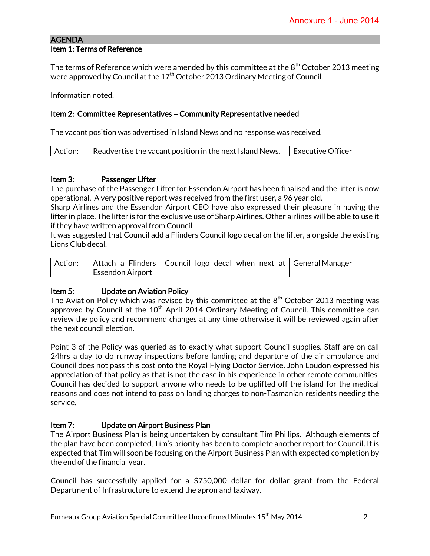## AGENDA Item 1: Terms of Reference

The terms of Reference which were amended by this committee at the  $8<sup>th</sup>$  October 2013 meeting were approved by Council at the  $17<sup>th</sup>$  October 2013 Ordinary Meeting of Council.

Information noted.

# Item 2: Committee Representatives – Community Representative needed

The vacant position was advertised in Island News and no response was received.

| Action:<br>  Executive Officer<br>$\vert$ Readvertise the vacant position in the next Island News. |  |
|----------------------------------------------------------------------------------------------------|--|
|----------------------------------------------------------------------------------------------------|--|

## Item 3: Passenger Lifter

The purchase of the Passenger Lifter for Essendon Airport has been finalised and the lifter is now operational. A very positive report was received from the first user, a 96 year old.

Sharp Airlines and the Essendon Airport CEO have also expressed their pleasure in having the lifter in place. The lifter is for the exclusive use of Sharp Airlines. Other airlines will be able to use it if they have written approval from Council.

It was suggested that Council add a Flinders Council logo decal on the lifter, alongside the existing Lions Club decal.

|                         | Action:   Attach a Flinders Council logo decal when next at   General Manager |  |
|-------------------------|-------------------------------------------------------------------------------|--|
| <b>Essendon Airport</b> |                                                                               |  |

# Item 5: Update on Aviation Policy

The Aviation Policy which was revised by this committee at the  $8<sup>th</sup>$  October 2013 meeting was approved by Council at the  $10<sup>th</sup>$  April 2014 Ordinary Meeting of Council. This committee can review the policy and recommend changes at any time otherwise it will be reviewed again after the next council election.

Point 3 of the Policy was queried as to exactly what support Council supplies. Staff are on call 24hrs a day to do runway inspections before landing and departure of the air ambulance and Council does not pass this cost onto the Royal Flying Doctor Service. John Loudon expressed his appreciation of that policy as that is not the case in his experience in other remote communities. Council has decided to support anyone who needs to be uplifted off the island for the medical reasons and does not intend to pass on landing charges to non-Tasmanian residents needing the service.

# Item 7: Update on Airport Business Plan

The Airport Business Plan is being undertaken by consultant Tim Phillips. Although elements of the plan have been completed, Tim's priority has been to complete another report for Council. It is expected that Tim will soon be focusing on the Airport Business Plan with expected completion by the end of the financial year.

Council has successfully applied for a \$750,000 dollar for dollar grant from the Federal Department of Infrastructure to extend the apron and taxiway.